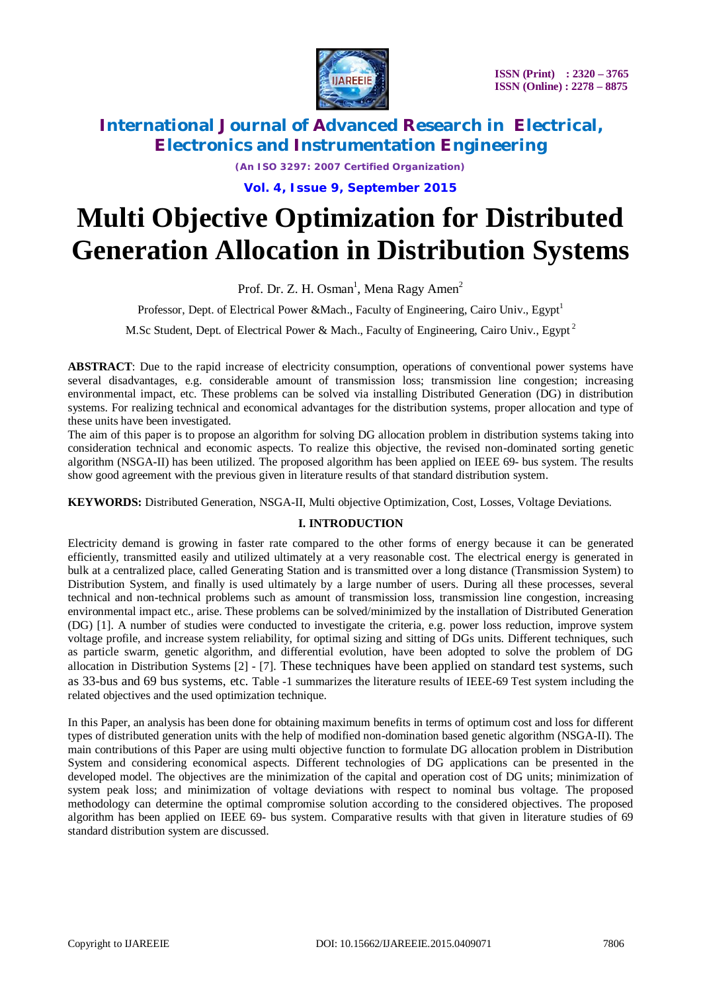

*(An ISO 3297: 2007 Certified Organization)*

**Vol. 4, Issue 9, September 2015**

# **Multi Objective Optimization for Distributed Generation Allocation in Distribution Systems**

Prof. Dr. Z. H. Osman<sup>1</sup>, Mena Ragy Amen<sup>2</sup>

Professor, Dept. of Electrical Power &Mach., Faculty of Engineering, Cairo Univ., Egypt<sup>1</sup>

M.Sc Student, Dept. of Electrical Power & Mach., Faculty of Engineering, Cairo Univ., Egypt<sup>2</sup>

**ABSTRACT**: Due to the rapid increase of electricity consumption, operations of conventional power systems have several disadvantages, e.g. considerable amount of transmission loss; transmission line congestion; increasing environmental impact, etc. These problems can be solved via installing Distributed Generation (DG) in distribution systems. For realizing technical and economical advantages for the distribution systems, proper allocation and type of these units have been investigated.

The aim of this paper is to propose an algorithm for solving DG allocation problem in distribution systems taking into consideration technical and economic aspects. To realize this objective, the revised non-dominated sorting genetic algorithm (NSGA-II) has been utilized. The proposed algorithm has been applied on IEEE 69- bus system. The results show good agreement with the previous given in literature results of that standard distribution system.

**KEYWORDS:** Distributed Generation, NSGA-II, Multi objective Optimization, Cost, Losses, Voltage Deviations.

### **I. INTRODUCTION**

Electricity demand is growing in faster rate compared to the other forms of energy because it can be generated efficiently, transmitted easily and utilized ultimately at a very reasonable cost. The electrical energy is generated in bulk at a centralized place, called Generating Station and is transmitted over a long distance (Transmission System) to Distribution System, and finally is used ultimately by a large number of users. During all these processes, several technical and non-technical problems such as amount of transmission loss, transmission line congestion, increasing environmental impact etc., arise. These problems can be solved/minimized by the installation of Distributed Generation (DG) [1]. A number of studies were conducted to investigate the criteria, e.g. power loss reduction, improve system voltage profile, and increase system reliability, for optimal sizing and sitting of DGs units. Different techniques, such as particle swarm, genetic algorithm, and differential evolution, have been adopted to solve the problem of DG allocation in Distribution Systems [2] - [7]. These techniques have been applied on standard test systems, such as 33-bus and 69 bus systems, etc. Table -1 summarizes the literature results of IEEE-69 Test system including the related objectives and the used optimization technique.

In this Paper, an analysis has been done for obtaining maximum benefits in terms of optimum cost and loss for different types of distributed generation units with the help of modified non-domination based genetic algorithm (NSGA-II). The main contributions of this Paper are using multi objective function to formulate DG allocation problem in Distribution System and considering economical aspects. Different technologies of DG applications can be presented in the developed model. The objectives are the minimization of the capital and operation cost of DG units; minimization of system peak loss; and minimization of voltage deviations with respect to nominal bus voltage. The proposed methodology can determine the optimal compromise solution according to the considered objectives. The proposed algorithm has been applied on IEEE 69- bus system. Comparative results with that given in literature studies of 69 standard distribution system are discussed.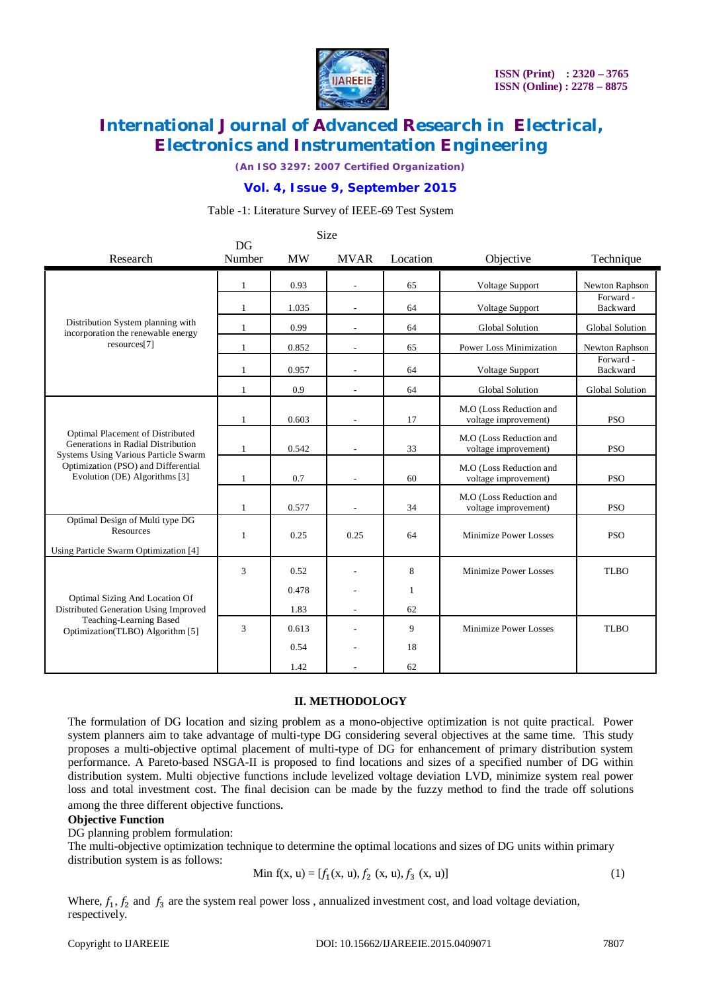

*(An ISO 3297: 2007 Certified Organization)*

### **Vol. 4, Issue 9, September 2015**

#### Table -1: Literature Survey of IEEE-69 Test System

|                                                                                                                | DG           |           | <b>Size</b>              |              |                                                 |                       |  |
|----------------------------------------------------------------------------------------------------------------|--------------|-----------|--------------------------|--------------|-------------------------------------------------|-----------------------|--|
| Research                                                                                                       | Number       | <b>MW</b> | <b>MVAR</b>              | Location     | Objective                                       | Technique             |  |
|                                                                                                                | $\mathbf{1}$ | 0.93      |                          | 65           | Voltage Support                                 | Newton Raphson        |  |
|                                                                                                                | 1            | 1.035     |                          | 64           | Voltage Support                                 | Forward -<br>Backward |  |
| Distribution System planning with<br>incorporation the renewable energy                                        | 1            | 0.99      |                          | 64           | <b>Global Solution</b>                          | Global Solution       |  |
| resources[7]                                                                                                   | $\mathbf{1}$ | 0.852     |                          | 65           | <b>Power Loss Minimization</b>                  | Newton Raphson        |  |
|                                                                                                                | 1            | 0.957     |                          | 64           | Voltage Support                                 | Forward -<br>Backward |  |
|                                                                                                                | $\mathbf{1}$ | 0.9       | $\overline{\phantom{a}}$ | 64           | Global Solution                                 | Global Solution       |  |
|                                                                                                                | $\mathbf{1}$ | 0.603     | $\overline{\phantom{a}}$ | 17           | M.O (Loss Reduction and<br>voltage improvement) | <b>PSO</b>            |  |
| Optimal Placement of Distributed<br>Generations in Radial Distribution<br>Systems Using Various Particle Swarm | 1            | 0.542     |                          | 33           | M.O (Loss Reduction and<br>voltage improvement) | <b>PSO</b>            |  |
| Optimization (PSO) and Differential<br>Evolution (DE) Algorithms [3]                                           | 1            | 0.7       |                          | 60           | M.O (Loss Reduction and<br>voltage improvement) | <b>PSO</b>            |  |
|                                                                                                                | 1            | 0.577     |                          | 34           | M.O (Loss Reduction and<br>voltage improvement) | <b>PSO</b>            |  |
| Optimal Design of Multi type DG<br>Resources                                                                   | $\mathbf{1}$ | 0.25      | 0.25                     | 64           | Minimize Power Losses                           | <b>PSO</b>            |  |
| Using Particle Swarm Optimization [4]                                                                          |              |           |                          |              |                                                 |                       |  |
|                                                                                                                | 3            | 0.52      |                          | 8            | Minimize Power Losses                           | <b>TLBO</b>           |  |
| Optimal Sizing And Location Of                                                                                 |              | 0.478     |                          | $\mathbf{1}$ |                                                 |                       |  |
| Distributed Generation Using Improved                                                                          |              | 1.83      |                          | 62           |                                                 |                       |  |
| Teaching-Learning Based<br>Optimization(TLBO) Algorithm [5]                                                    | 3            | 0.613     |                          | 9            | Minimize Power Losses                           | <b>TLBO</b>           |  |
|                                                                                                                |              | 0.54      |                          | 18           |                                                 |                       |  |
|                                                                                                                |              | 1.42      |                          | 62           |                                                 |                       |  |

#### **II. METHODOLOGY**

The formulation of DG location and sizing problem as a mono-objective optimization is not quite practical. Power system planners aim to take advantage of multi-type DG considering several objectives at the same time. This study proposes a multi-objective optimal placement of multi-type of DG for enhancement of primary distribution system performance. A Pareto-based NSGA-II is proposed to find locations and sizes of a specified number of DG within distribution system. Multi objective functions include levelized voltage deviation LVD, minimize system real power loss and total investment cost. The final decision can be made by the fuzzy method to find the trade off solutions among the three different objective functions.

#### **Objective Function**

DG planning problem formulation:

The multi-objective optimization technique to determine the optimal locations and sizes of DG units within primary distribution system is as follows:

Min f(x, u) = 
$$
[f_1(x, u), f_2(x, u), f_3(x, u)]
$$
 (1)

Where,  $f_1$ ,  $f_2$  and  $f_3$  are the system real power loss, annualized investment cost, and load voltage deviation, respectively.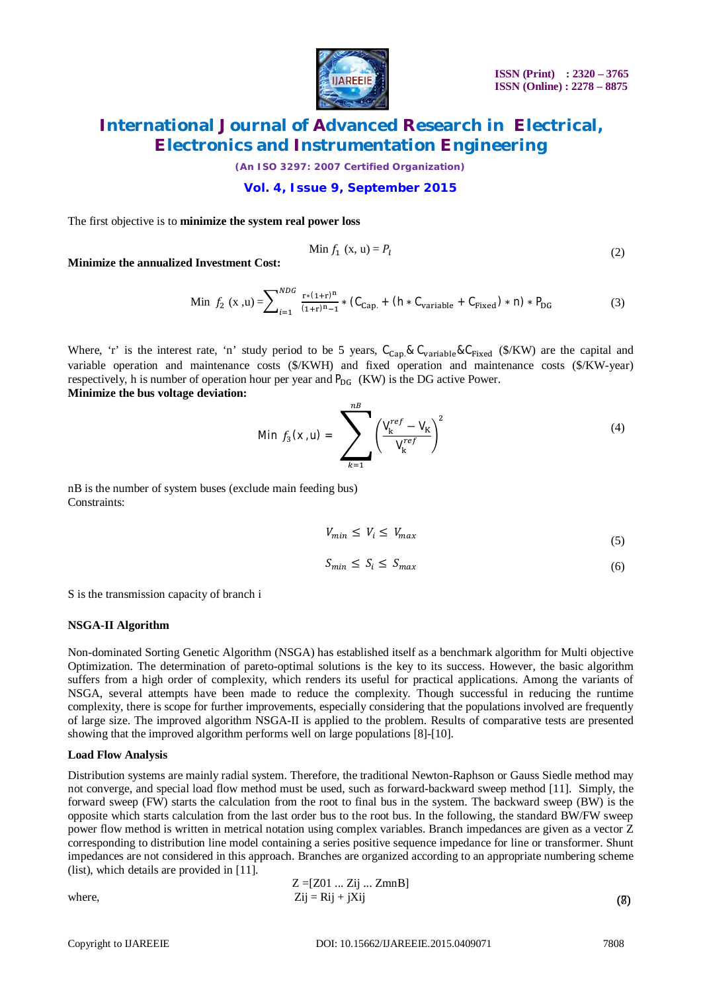

*(An ISO 3297: 2007 Certified Organization)*

### **Vol. 4, Issue 9, September 2015**

The first objective is to **minimize the system real power loss** 

$$
\text{Min } f_1 \text{ (x, u)} = P_l \tag{2}
$$

**Minimize the annualized Investment Cost:**

Min 
$$
f_2(x, u) = \sum_{i=1}^{NDG} \frac{r*(1+r)^n}{(1+r)^{n}-1} * (C_{Cap.} + (h * C_{variable} + C_{Fixed}) * n) * P_{DG}
$$
 (3)

Where, 'r' is the interest rate, 'n' study period to be 5 years,  $C_{Cap} & C_{variable} & C_{Fixed}$  (\$/KW) are the capital and variable operation and maintenance costs (\$/KWH) and fixed operation and maintenance costs (\$/KW-year) respectively, h is number of operation hour per year and  $P_{DG}$  (KW) is the DG active Power. **Minimize the bus voltage deviation:**

Min 
$$
f_3(x, u) = \sum_{k=1}^{n} \left( \frac{V_k^{ref} - V_k}{V_k^{ref}} \right)^2
$$
 (4)

nB is the number of system buses (exclude main feeding bus) Constraints:

$$
V_{min} \le V_i \le V_{max} \tag{5}
$$

$$
S_{min} \le S_i \le S_{max} \tag{6}
$$

S is the transmission capacity of branch i

#### **NSGA-II Algorithm**

Non-dominated Sorting Genetic Algorithm (NSGA) has established itself as a benchmark algorithm for Multi objective Optimization. The determination of pareto-optimal solutions is the key to its success. However, the basic algorithm suffers from a high order of complexity, which renders its useful for practical applications. Among the variants of NSGA, several attempts have been made to reduce the complexity. Though successful in reducing the runtime complexity, there is scope for further improvements, especially considering that the populations involved are frequently of large size. The improved algorithm NSGA-II is applied to the problem. Results of comparative tests are presented showing that the improved algorithm performs well on large populations [8]-[10].

#### **Load Flow Analysis**

Distribution systems are mainly radial system. Therefore, the traditional Newton-Raphson or Gauss Siedle method may not converge, and special load flow method must be used, such as forward-backward sweep method [11]. Simply, the forward sweep (FW) starts the calculation from the root to final bus in the system. The backward sweep (BW) is the opposite which starts calculation from the last order bus to the root bus. In the following, the standard BW/FW sweep power flow method is written in metrical notation using complex variables. Branch impedances are given as a vector Z corresponding to distribution line model containing a series positive sequence impedance for line or transformer. Shunt impedances are not considered in this approach. Branches are organized according to an appropriate numbering scheme (list), which details are provided in [11].

where,  
\n
$$
Z = [Z01 ... Zij ... ZmnB]
$$
\n
$$
Zij = Rij + jXij
$$
\n(8)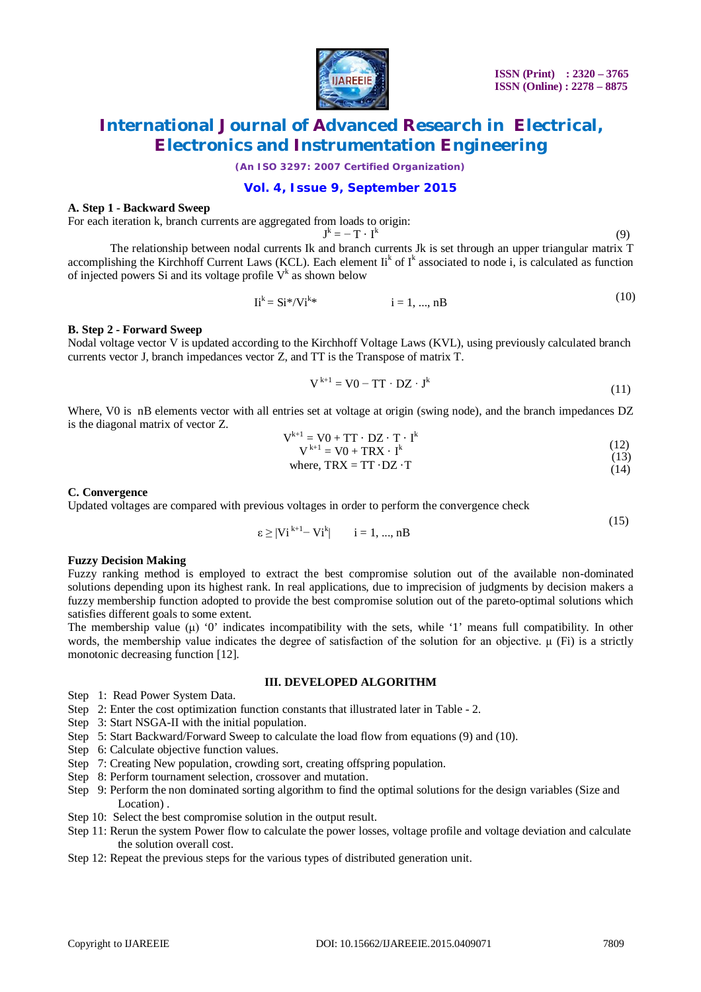

*(An ISO 3297: 2007 Certified Organization)*

### **Vol. 4, Issue 9, September 2015**

#### **A. Step 1 - Backward Sweep**

For each iteration k, branch currents are aggregated from loads to origin:

$$
\textbf{J}^k = -\,\textbf{T}\,\cdot\,\textbf{I}^k
$$

 $(9)$ 

 $(10)$ 

 $(15)$ 

The relationship between nodal currents Ik and branch currents Jk is set through an upper triangular matrix T accomplishing the Kirchhoff Current Laws (KCL). Each element  $I_i^k$  of  $I^k$  associated to node i, is calculated as function of injected powers Si and its voltage profile  $V^k$  as shown below

$$
Iik = Si*/Vik * i = 1, ..., nB
$$
 (10)

#### **B. Step 2 - Forward Sweep**

Nodal voltage vector V is updated according to the Kirchhoff Voltage Laws (KVL), using previously calculated branch currents vector J, branch impedances vector Z, and TT is the Transpose of matrix T.

$$
V^{k+1} = V0 - TT \cdot DZ \cdot J^k \tag{11}
$$

Where, V0 is nB elements vector with all entries set at voltage at origin (swing node), and the branch impedances DZ is the diagonal matrix of vector Z.

$$
V^{k+1} = V0 + TT \cdot DZ \cdot T \cdot I^{k}
$$
  
\n
$$
V^{k+1} = V0 + TRX \cdot I^{k}
$$
\n(12)

$$
V = V0 + I K A \cdot 1
$$
  
where, TRX = TT · DZ · T (14)

where, 
$$
1K\Lambda = 11 \cdot D\mathbf{Z} \cdot 1
$$
 (14)

#### **C. Convergence**

Updated voltages are compared with previous voltages in order to perform the convergence check

$$
\varepsilon \geq |Vi^{k+1} - Vi^k| \qquad i = 1, ..., nB
$$

#### **Fuzzy Decision Making**

Fuzzy ranking method is employed to extract the best compromise solution out of the available non-dominated solutions depending upon its highest rank. In real applications, due to imprecision of judgments by decision makers a fuzzy membership function adopted to provide the best compromise solution out of the pareto-optimal solutions which satisfies different goals to some extent.

The membership value  $(\mu)$  '0' indicates incompatibility with the sets, while '1' means full compatibility. In other words, the membership value indicates the degree of satisfaction of the solution for an objective. μ (Fi) is a strictly monotonic decreasing function [12].

#### **III. DEVELOPED ALGORITHM**

- Step 1: Read Power System Data.
- Step 2: Enter the cost optimization function constants that illustrated later in Table 2.
- Step 3: Start NSGA-II with the initial population.
- Step 5: Start Backward/Forward Sweep to calculate the load flow from equations (9) and (10).
- Step 6: Calculate objective function values.
- Step 7: Creating New population, crowding sort, creating offspring population.
- Step 8: Perform tournament selection, crossover and mutation.
- Step 9: Perform the non dominated sorting algorithm to find the optimal solutions for the design variables (Size and Location) .
- Step 10: Select the best compromise solution in the output result.
- Step 11: Rerun the system Power flow to calculate the power losses, voltage profile and voltage deviation and calculate the solution overall cost.
- Step 12: Repeat the previous steps for the various types of distributed generation unit.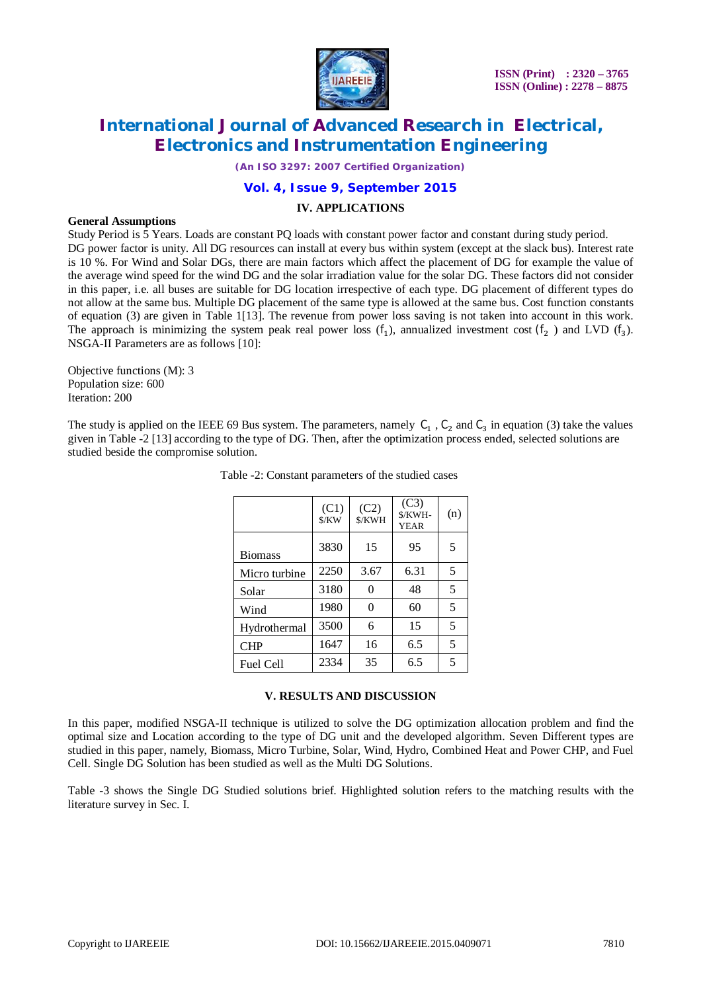

*(An ISO 3297: 2007 Certified Organization)*

### **Vol. 4, Issue 9, September 2015**

#### **IV. APPLICATIONS**

#### **General Assumptions**

Study Period is 5 Years. Loads are constant PQ loads with constant power factor and constant during study period. DG power factor is unity. All DG resources can install at every bus within system (except at the slack bus). Interest rate is 10 %. For Wind and Solar DGs, there are main factors which affect the placement of DG for example the value of the average wind speed for the wind DG and the solar irradiation value for the solar DG. These factors did not consider in this paper, i.e. all buses are suitable for DG location irrespective of each type. DG placement of different types do not allow at the same bus. Multiple DG placement of the same type is allowed at the same bus. Cost function constants of equation (3) are given in Table 1[13]. The revenue from power loss saving is not taken into account in this work. The approach is minimizing the system peak real power loss  $(f_1)$ , annualized investment cost  $(f_2)$  and LVD  $(f_3)$ . NSGA-II Parameters are as follows [10]:

Objective functions (M): 3 Population size: 600 Iteration: 200

The study is applied on the IEEE 69 Bus system. The parameters, namely  $C_1$ ,  $C_2$  and  $C_3$  in equation (3) take the values given in Table -2 [13] according to the type of DG. Then, after the optimization process ended, selected solutions are studied beside the compromise solution.

|                  | (C1)<br>\$/KW | (C2)<br>\$/KWH | (C3)<br>\$/KWH-<br><b>YEAR</b> | (n) |
|------------------|---------------|----------------|--------------------------------|-----|
| <b>Biomass</b>   | 3830          | 15             | 95                             | 5   |
| Micro turbine    | 2250          | 3.67           | 6.31                           | 5   |
| Solar            | 3180          | 0              | 48                             | 5   |
| Wind             | 1980          | 0              | 60                             | 5   |
| Hydrothermal     | 3500          | 6              | 15                             | 5   |
| <b>CHP</b>       | 1647          | 16             | 6.5                            | 5   |
| <b>Fuel Cell</b> | 2334          | 35             | 6.5                            | 5   |

Table -2: Constant parameters of the studied cases

#### **V. RESULTS AND DISCUSSION**

In this paper, modified NSGA-II technique is utilized to solve the DG optimization allocation problem and find the optimal size and Location according to the type of DG unit and the developed algorithm. Seven Different types are studied in this paper, namely, Biomass, Micro Turbine, Solar, Wind, Hydro, Combined Heat and Power CHP, and Fuel Cell. Single DG Solution has been studied as well as the Multi DG Solutions.

Table -3 shows the Single DG Studied solutions brief. Highlighted solution refers to the matching results with the literature survey in Sec. I.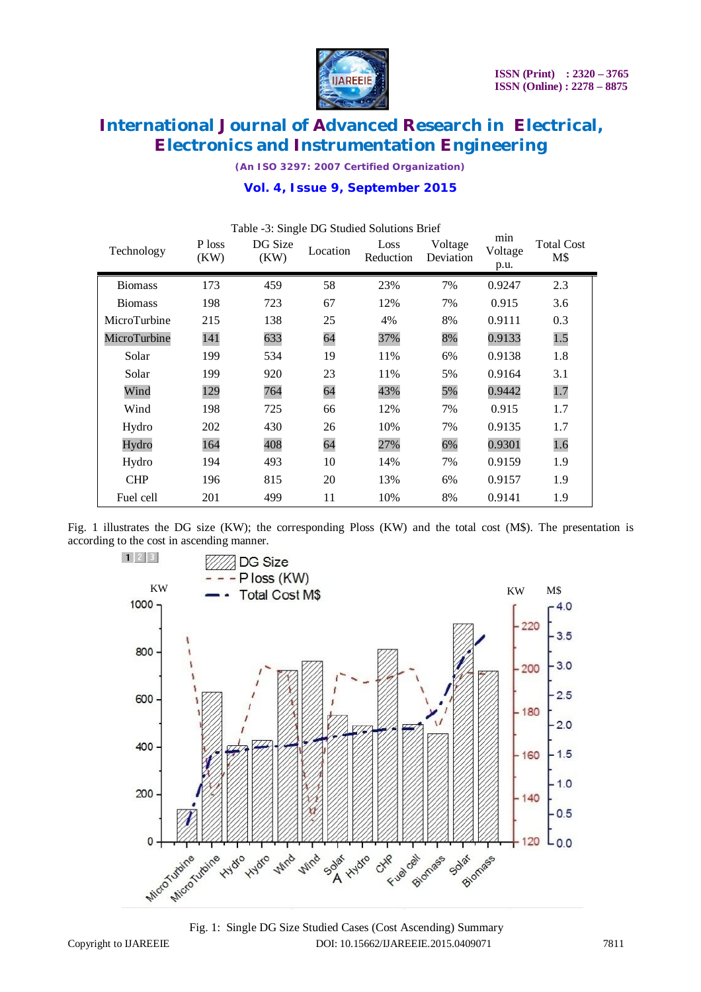

*(An ISO 3297: 2007 Certified Organization)*

|  | Vol. 4, Issue 9, September 2015 |  |
|--|---------------------------------|--|
|  |                                 |  |

| Technology     | P loss<br>(KW) | DG Size<br>(KW) | Location | Table -3: Single DG Studied Solutions Brief<br>Loss<br>Reduction | Voltage<br>Deviation | min<br>Voltage<br>p.u. | <b>Total Cost</b><br>M\$ |
|----------------|----------------|-----------------|----------|------------------------------------------------------------------|----------------------|------------------------|--------------------------|
| <b>Biomass</b> | 173            | 459             | 58       | 23%                                                              | 7%                   | 0.9247                 | 2.3                      |
| <b>Biomass</b> | 198            | 723             | 67       | 12%                                                              | 7%                   | 0.915                  | 3.6                      |
| MicroTurbine   | 215            | 138             | 25       | 4%                                                               | 8%                   | 0.9111                 | 0.3                      |
| MicroTurbine   | 141            | 633             | 64       | 37%                                                              | 8%                   | 0.9133                 | 1.5                      |
| Solar          | 199            | 534             | 19       | 11%                                                              | 6%                   | 0.9138                 | 1.8                      |
| Solar          | 199            | 920             | 23       | 11%                                                              | 5%                   | 0.9164                 | 3.1                      |
| Wind           | 129            | 764             | 64       | 43%                                                              | 5%                   | 0.9442                 | 1.7                      |
| Wind           | 198            | 725             | 66       | 12%                                                              | 7%                   | 0.915                  | 1.7                      |
| Hydro          | 202            | 430             | 26       | 10%                                                              | 7%                   | 0.9135                 | 1.7                      |
| Hydro          | 164            | 408             | 64       | 27%                                                              | 6%                   | 0.9301                 | 1.6                      |
| Hydro          | 194            | 493             | 10       | 14%                                                              | 7%                   | 0.9159                 | 1.9                      |
| <b>CHP</b>     | 196            | 815             | 20       | 13%                                                              | 6%                   | 0.9157                 | 1.9                      |
| Fuel cell      | 201            | 499             | 11       | 10%                                                              | 8%                   | 0.9141                 | 1.9                      |

Fig. 1 illustrates the DG size (KW); the corresponding Ploss (KW) and the total cost (M\$). The presentation is according to the cost in ascending manner.



Copyright to IJAREEIE DOI: 10.15662/IJAREEIE.2015.0409071 7811 Fig. 1: Single DG Size Studied Cases (Cost Ascending) Summary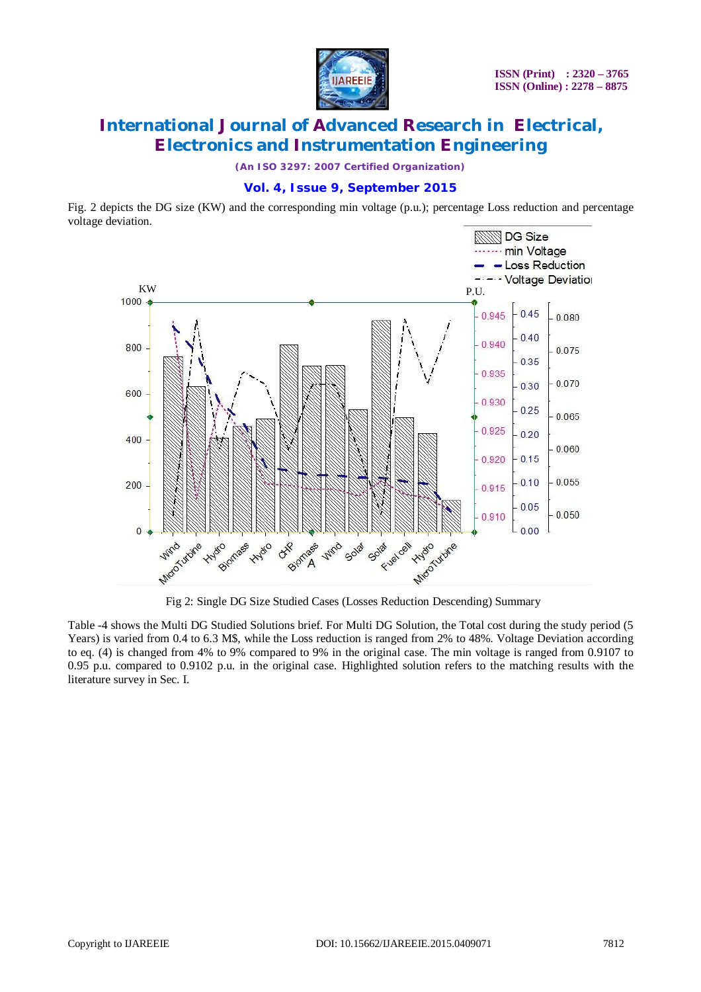

*(An ISO 3297: 2007 Certified Organization)*

### **Vol. 4, Issue 9, September 2015**

Fig. 2 depicts the DG size (KW) and the corresponding min voltage (p.u.); percentage Loss reduction and percentage voltage deviation.



Fig 2: Single DG Size Studied Cases (Losses Reduction Descending) Summary

Table -4 shows the Multi DG Studied Solutions brief. For Multi DG Solution, the Total cost during the study period (5 Years) is varied from 0.4 to 6.3 M\$, while the Loss reduction is ranged from 2% to 48%. Voltage Deviation according to eq. (4) is changed from 4% to 9% compared to 9% in the original case. The min voltage is ranged from 0.9107 to 0.95 p.u. compared to 0.9102 p.u. in the original case. Highlighted solution refers to the matching results with the literature survey in Sec. I.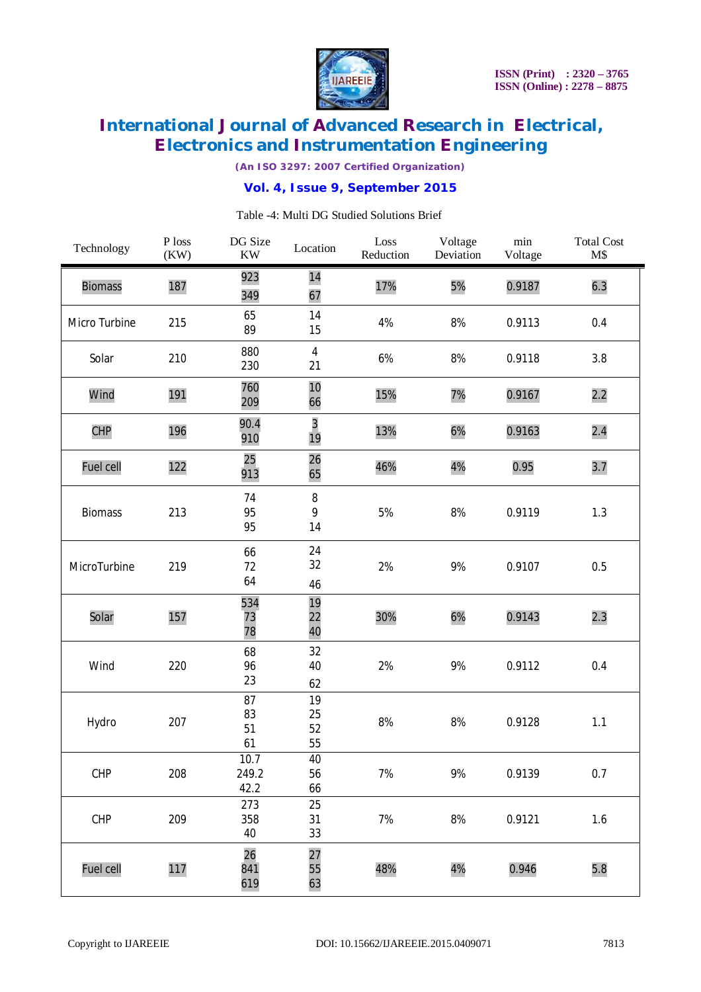

*(An ISO 3297: 2007 Certified Organization)*

### **Vol. 4, Issue 9, September 2015**

| Technology     | P loss<br>(KW) | DG Size<br><b>KW</b>  | Location             | Loss<br>Reduction | Voltage<br>Deviation | $\min$<br>Voltage | <b>Total Cost</b><br>M\$ |
|----------------|----------------|-----------------------|----------------------|-------------------|----------------------|-------------------|--------------------------|
| <b>Biomass</b> | 187            | 923<br>349            | 14<br>67             | 17%               | 5%                   | 0.9187            | 6.3                      |
| Micro Turbine  | 215            | 65<br>89              | 14<br>15             | 4%                | 8%                   | 0.9113            | 0.4                      |
| Solar          | 210            | 880<br>230            | $\overline{4}$<br>21 | 6%                | 8%                   | 0.9118            | 3.8                      |
| Wind           | 191            | 760<br>209            | 10<br>66             | 15%               | 7%                   | 0.9167            | 2.2                      |
| <b>CHP</b>     | 196            | 90.4<br>910           | 3<br>19              | 13%               | 6%                   | 0.9163            | 2.4                      |
| Fuel cell      | 122            | 25<br>913             | 26<br>65             | 46%               | 4%                   | 0.95              | 3.7                      |
| <b>Biomass</b> | 213            | 74<br>95<br>95        | $\, 8$<br>9<br>14    | 5%                | 8%                   | 0.9119            | 1.3                      |
| MicroTurbine   | 219            | 66<br>72<br>64        | 24<br>32<br>46       | 2%                | 9%                   | 0.9107            | 0.5                      |
| Solar          | 157            | 534<br>73<br>78       | 19<br>22<br>40       | 30%               | 6%                   | 0.9143            | 2.3                      |
| Wind           | 220            | 68<br>96<br>23        | 32<br>40<br>62       | 2%                | 9%                   | 0.9112            | 0.4                      |
| Hydro          | 207            | 87<br>83<br>51<br>61  | 19<br>25<br>52<br>55 | 8%                | 8%                   | 0.9128            | 1.1                      |
| CHP            | 208            | 10.7<br>249.2<br>42.2 | 40<br>56<br>66       | 7%                | 9%                   | 0.9139            | 0.7                      |
| CHP            | 209            | 273<br>358<br>40      | 25<br>31<br>33       | 7%                | $8%$                 | 0.9121            | $1.6$                    |
| Fuel cell      | 117            | 26<br>841<br>619      | 27<br>55<br>63       | 48%               | 4%                   | 0.946             | 5.8                      |

#### Table -4: Multi DG Studied Solutions Brief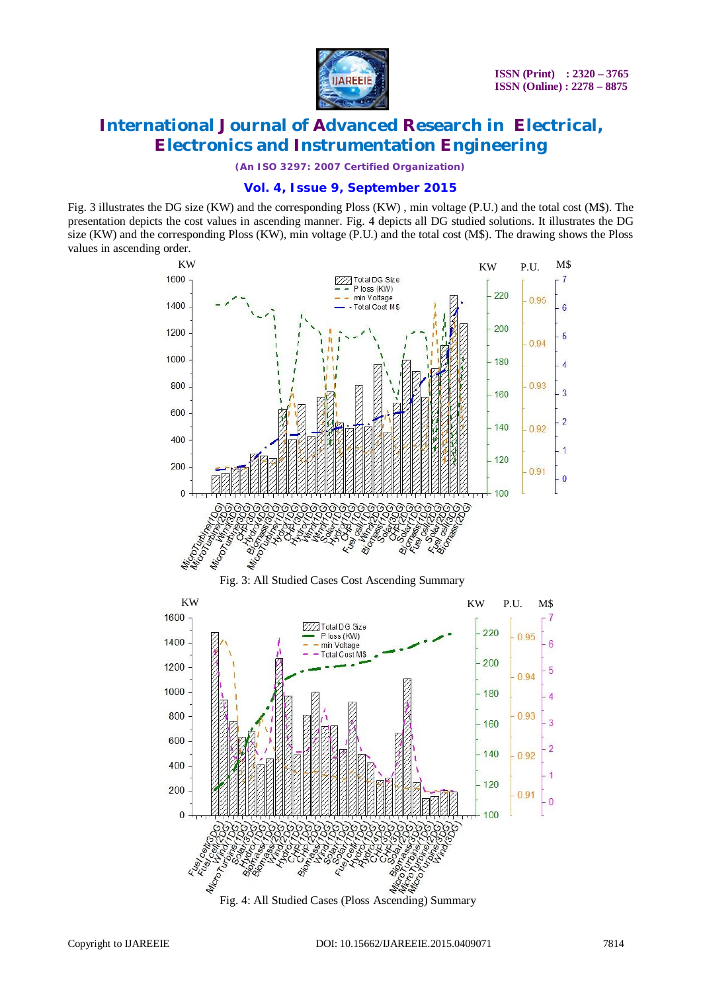

*(An ISO 3297: 2007 Certified Organization)*

### **Vol. 4, Issue 9, September 2015**

Fig. 3 illustrates the DG size (KW) and the corresponding Ploss (KW) , min voltage (P.U.) and the total cost (M\$). The presentation depicts the cost values in ascending manner. Fig. 4 depicts all DG studied solutions. It illustrates the DG size (KW) and the corresponding Ploss (KW), min voltage (P.U.) and the total cost (M\$). The drawing shows the Ploss values in ascending order.



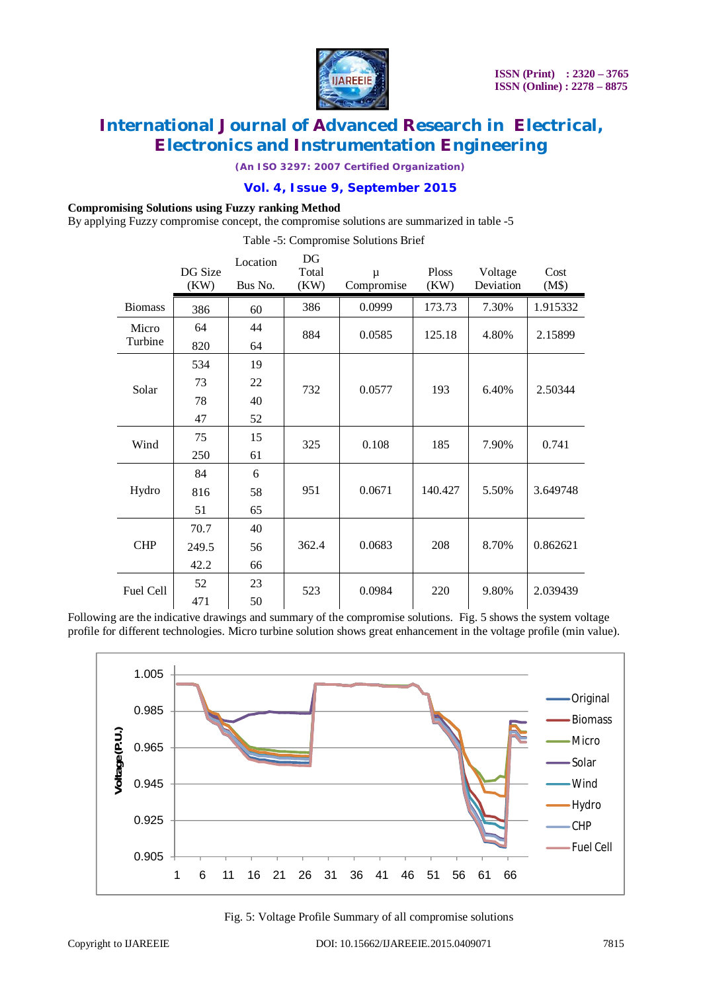

*(An ISO 3297: 2007 Certified Organization)*

### **Vol. 4, Issue 9, September 2015**

#### **Compromising Solutions using Fuzzy ranking Method**

By applying Fuzzy compromise concept, the compromise solutions are summarized in table -5

Table -5: Compromise Solutions Brief

|                | DG Size<br>(KW) | Location<br>Bus No. | DG<br>Total<br>(KW) | μ<br>Compromise | Ploss<br>(KW) | Voltage<br>Deviation | Cost<br>(M\$) |
|----------------|-----------------|---------------------|---------------------|-----------------|---------------|----------------------|---------------|
| <b>Biomass</b> | 386             | 60                  | 386                 | 0.0999          | 173.73        | 7.30%                | 1.915332      |
| Micro          | 64              | 44                  | 884                 | 0.0585          | 125.18        | 4.80%                | 2.15899       |
| Turbine        | 820             | 64                  |                     |                 |               |                      |               |
| Solar          | 534             | 19                  |                     | 0.0577          | 193           | 6.40%                | 2.50344       |
|                | 73              | 22                  | 732                 |                 |               |                      |               |
|                | 78              | 40                  |                     |                 |               |                      |               |
|                | 47              | 52                  |                     |                 |               |                      |               |
| Wind           | 75              | 15                  | 325                 | 0.108           | 185           | 7.90%                | 0.741         |
|                | 250             | 61                  |                     |                 |               |                      |               |
|                | 84              | 6                   | 951                 | 0.0671          | 140.427       | 5.50%                | 3.649748      |
| Hydro          | 816             | 58                  |                     |                 |               |                      |               |
|                | 51              | 65                  |                     |                 |               |                      |               |
| <b>CHP</b>     | 70.7            | 40                  |                     |                 |               |                      |               |
|                | 249.5           | 56                  | 362.4               | 0.0683          | 208           | 8.70%                | 0.862621      |
|                | 42.2            | 66                  |                     |                 |               |                      |               |
| Fuel Cell      | 52              | 23                  | 523                 | 0.0984          | 220           | 9.80%                | 2.039439      |
|                | 471             | 50                  |                     |                 |               |                      |               |

Following are the indicative drawings and summary of the compromise solutions. Fig. 5 shows the system voltage profile for different technologies. Micro turbine solution shows great enhancement in the voltage profile (min value).



Fig. 5: Voltage Profile Summary of all compromise solutions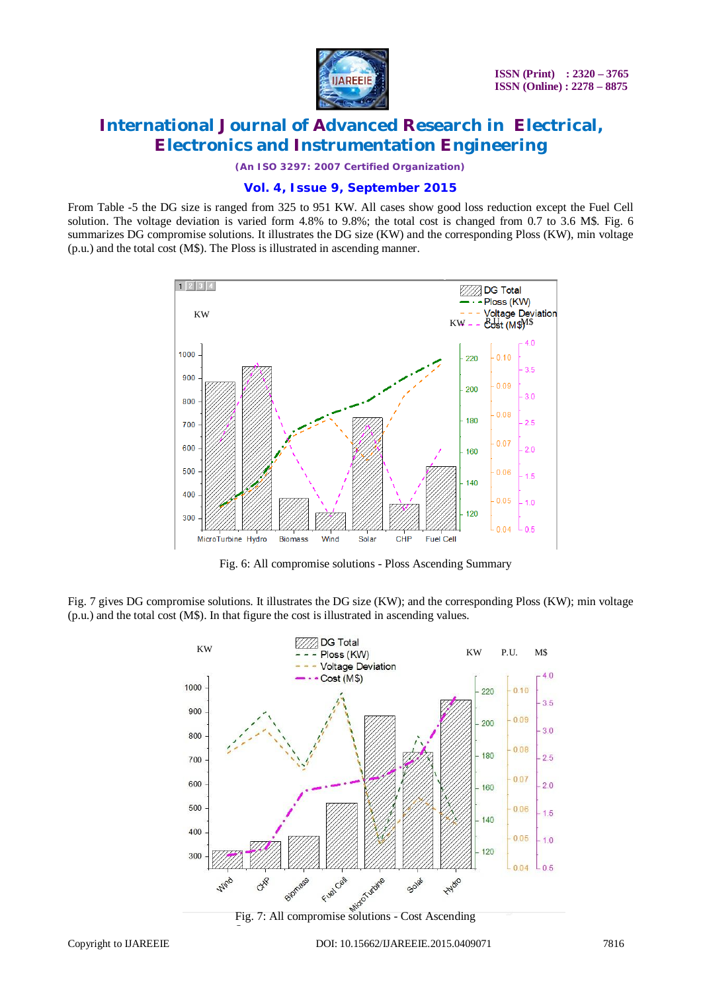

*(An ISO 3297: 2007 Certified Organization)*

### **Vol. 4, Issue 9, September 2015**

From Table -5 the DG size is ranged from 325 to 951 KW. All cases show good loss reduction except the Fuel Cell solution. The voltage deviation is varied form 4.8% to 9.8%; the total cost is changed from 0.7 to 3.6 M\$. Fig. 6 summarizes DG compromise solutions. It illustrates the DG size (KW) and the corresponding Ploss (KW), min voltage (p.u.) and the total cost (M\$). The Ploss is illustrated in ascending manner.



Fig. 6: All compromise solutions - Ploss Ascending Summary

Fig. 7 gives DG compromise solutions. It illustrates the DG size (KW); and the corresponding Ploss (KW); min voltage (p.u.) and the total cost (M\$). In that figure the cost is illustrated in ascending values.